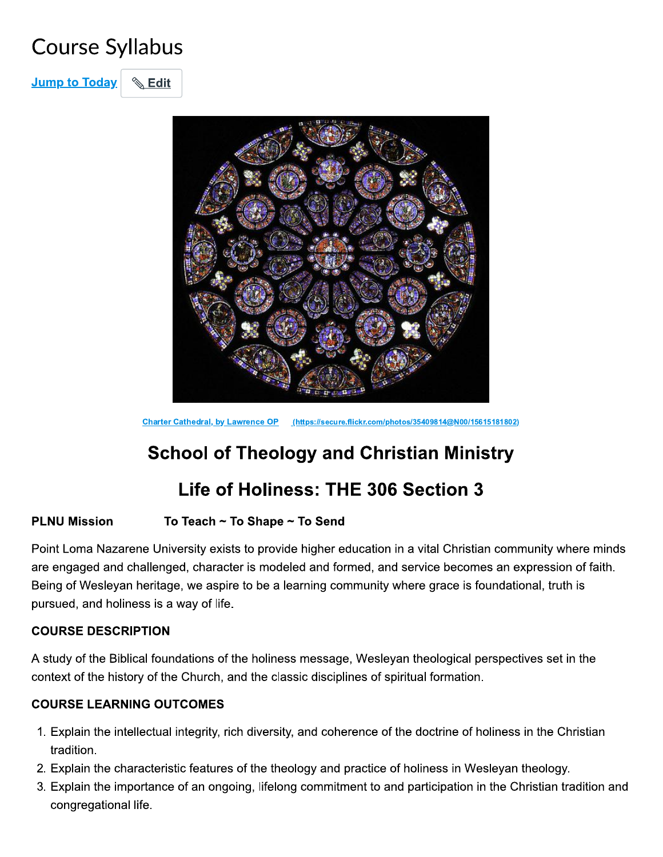# **Course Syllabus**

**&** Edit **Jump to Today** 



Charter Cathedral, by Lawrence OP (https://secure.flickr.com/photos/35409814@N00/15615181802)

## **School of Theology and Christian Ministry**

### Life of Holiness: THE 306 Section 3

#### **PLNU Mission** To Teach ~ To Shape ~ To Send

Point Loma Nazarene University exists to provide higher education in a vital Christian community where minds are engaged and challenged, character is modeled and formed, and service becomes an expression of faith. Being of Wesleyan heritage, we aspire to be a learning community where grace is foundational, truth is pursued, and holiness is a way of life.

#### **COURSE DESCRIPTION**

A study of the Biblical foundations of the holiness message, Wesleyan theological perspectives set in the context of the history of the Church, and the classic disciplines of spiritual formation.

#### **COURSE LEARNING OUTCOMES**

- 1. Explain the intellectual integrity, rich diversity, and coherence of the doctrine of holiness in the Christian tradition.
- 2. Explain the characteristic features of the theology and practice of holiness in Wesleyan theology.
- 3. Explain the importance of an ongoing, lifelong commitment to and participation in the Christian tradition and congregational life.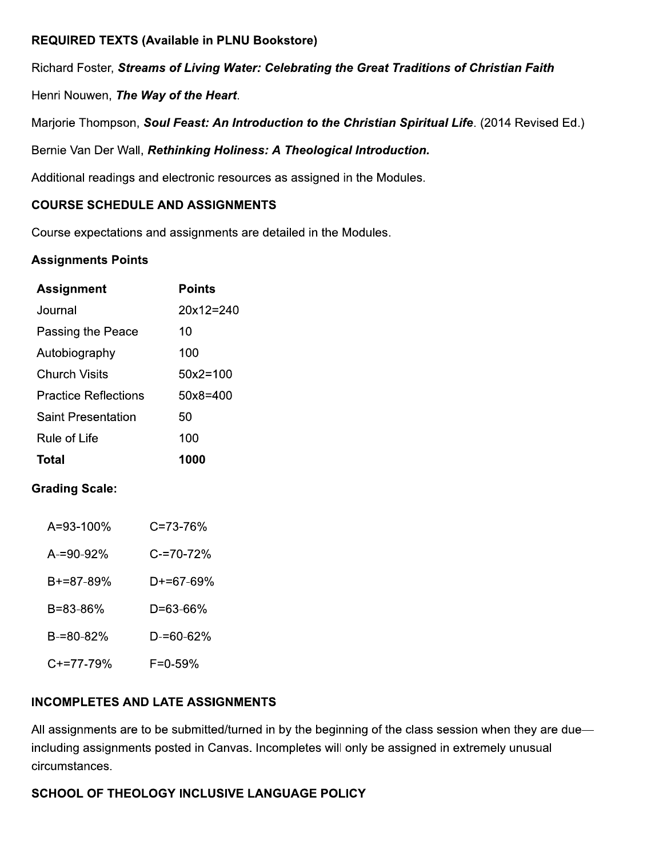#### **REQUIRED TEXTS (Available in PLNU Bookstore)**

Richard Foster, Streams of Living Water: Celebrating the Great Traditions of Christian Faith

Henri Nouwen, The Way of the Heart.

Marjorie Thompson, Soul Feast: An Introduction to the Christian Spiritual Life. (2014 Revised Ed.)

Bernie Van Der Wall, Rethinking Holiness: A Theological Introduction.

Additional readings and electronic resources as assigned in the Modules.

#### **COURSE SCHEDULE AND ASSIGNMENTS**

Course expectations and assignments are detailed in the Modules.

#### **Assignments Points**

| <b>Assignment</b>         | Points       |
|---------------------------|--------------|
| Journal                   | $20x12=240$  |
| Passing the Peace         | 10           |
| Autobiography             | 100          |
| Church Visits             | $50x2 = 100$ |
| Practice Reflections      | $50x8=400$   |
| <b>Saint Presentation</b> | 50           |
| Rule of Life              | 100          |
| Total                     | 1000         |

#### **Grading Scale:**

| A=93-100% | $C = 73 - 76%$ |
|-----------|----------------|
| A-=90-92% | C-=70-72%      |
| B+=87-89% | D+=67-69%      |
| B=83-86%  | D=63-66%       |
| B-=80-82% | $D = 60 - 62%$ |
| C+=77-79% | F=0-59%        |

#### **INCOMPLETES AND LATE ASSIGNMENTS**

All assignments are to be submitted/turned in by the beginning of the class session when they are due including assignments posted in Canvas. Incompletes will only be assigned in extremely unusual circumstances.

#### SCHOOL OF THEOLOGY INCLUSIVE LANGUAGE POLICY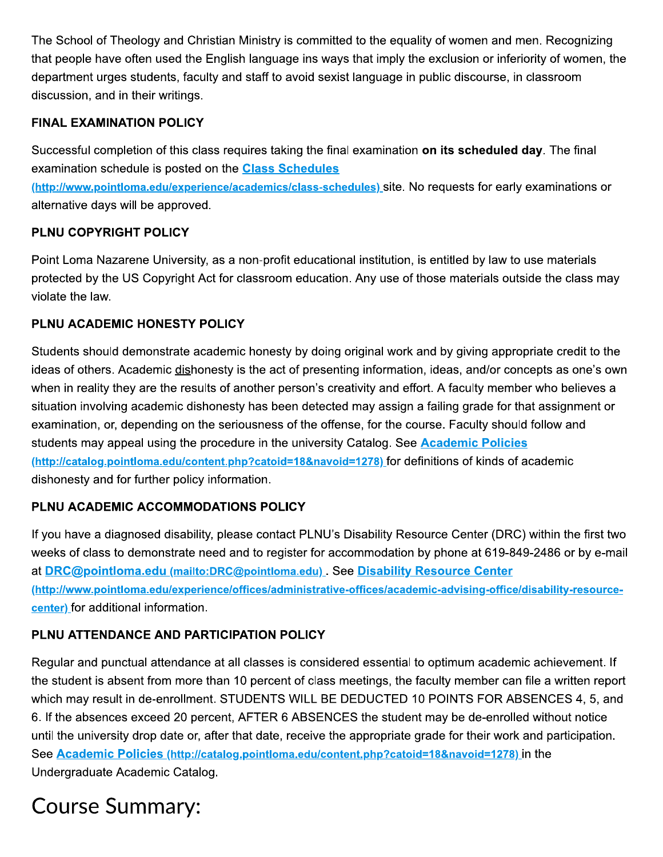The School of Theology and Christian Ministry is committed to the equality of women and men. Recognizing that people have often used the English language ins ways that imply the exclusion or inferiority of women, the department urges students, faculty and staff to avoid sexist language in public discourse, in classroom discussion, and in their writings.

#### **FINAL EXAMINATION POLICY**

Successful completion of this class requires taking the final examination on its scheduled day. The final examination schedule is posted on the **Class Schedules** 

(http://www.pointloma.edu/experience/academics/class-schedules) site. No requests for early examinations or alternative days will be approved.

#### **PLNU COPYRIGHT POLICY**

Point Loma Nazarene University, as a non-profit educational institution, is entitled by law to use materials protected by the US Copyright Act for classroom education. Any use of those materials outside the class may violate the law.

#### PLNU ACADEMIC HONESTY POLICY

Students should demonstrate academic honesty by doing original work and by giving appropriate credit to the ideas of others. Academic dishonesty is the act of presenting information, ideas, and/or concepts as one's own when in reality they are the results of another person's creativity and effort. A faculty member who believes a situation involving academic dishonesty has been detected may assign a failing grade for that assignment or examination, or, depending on the seriousness of the offense, for the course. Faculty should follow and students may appeal using the procedure in the university Catalog. See Academic Policies (http://catalog.pointloma.edu/content.php?catoid=18&navoid=1278) for definitions of kinds of academic dishonesty and for further policy information.

### PLNU ACADEMIC ACCOMMODATIONS POLICY

If you have a diagnosed disability, please contact PLNU's Disability Resource Center (DRC) within the first two weeks of class to demonstrate need and to register for accommodation by phone at 619-849-2486 or by e-mail at DRC@pointloma.edu (mailto:DRC@pointloma.edu). See Disability Resource Center (http://www.pointloma.edu/experience/offices/administrative-offices/academic-advising-office/disability-resourcecenter) for additional information.

### PLNU ATTENDANCE AND PARTICIPATION POLICY

Regular and punctual attendance at all classes is considered essential to optimum academic achievement. If the student is absent from more than 10 percent of class meetings, the faculty member can file a written report which may result in de-enrollment. STUDENTS WILL BE DEDUCTED 10 POINTS FOR ABSENCES 4, 5, and 6. If the absences exceed 20 percent, AFTER 6 ABSENCES the student may be de-enrolled without notice until the university drop date or, after that date, receive the appropriate grade for their work and participation. See Academic Policies (http://catalog.pointloma.edu/content.php?catoid=18&navoid=1278) in the Undergraduate Academic Catalog.

# **Course Summary:**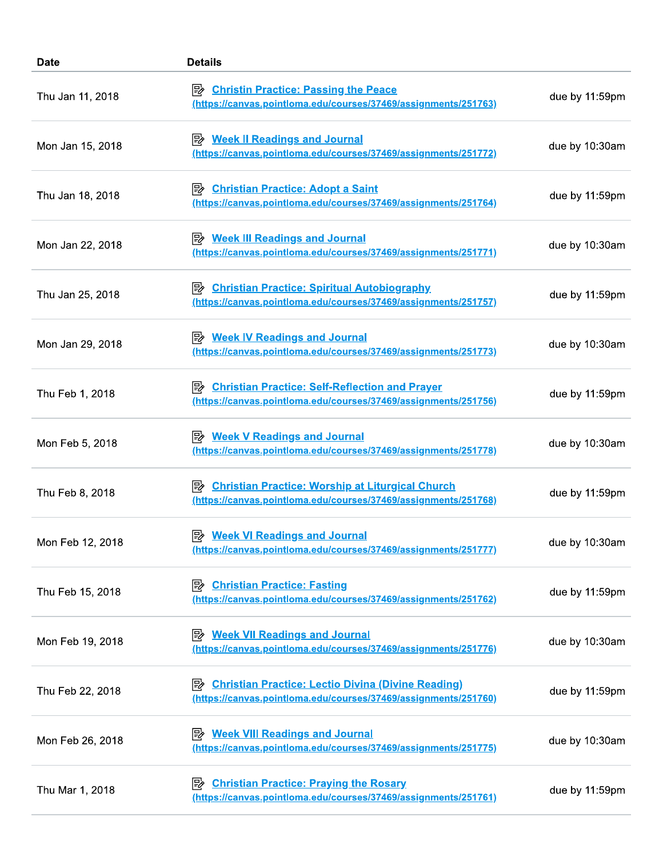| <b>Date</b>      | <b>Details</b>                                                                                                                    |                |
|------------------|-----------------------------------------------------------------------------------------------------------------------------------|----------------|
| Thu Jan 11, 2018 | <b>Christin Practice: Passing the Peace</b><br>(https://canvas.pointloma.edu/courses/37469/assignments/251763)                    | due by 11:59pm |
| Mon Jan 15, 2018 | <b>Week II Readings and Journal</b><br>⊯≽<br>(https://canvas.pointloma.edu/courses/37469/assignments/251772)                      | due by 10:30am |
| Thu Jan 18, 2018 | <b>Christian Practice: Adopt a Saint</b><br>ぽ<br>(https://canvas.pointloma.edu/courses/37469/assignments/251764)                  | due by 11:59pm |
| Mon Jan 22, 2018 | <b>Week III Readings and Journal</b><br>⊯<br>(https://canvas.pointloma.edu/courses/37469/assignments/251771)                      | due by 10:30am |
| Thu Jan 25, 2018 | <b>Christian Practice: Spiritual Autobiography</b><br>(https://canvas.pointloma.edu/courses/37469/assignments/251757)             | due by 11:59pm |
| Mon Jan 29, 2018 | <b>Week IV Readings and Journal</b><br> 5≽<br>(https://canvas.pointloma.edu/courses/37469/assignments/251773)                     | due by 10:30am |
| Thu Feb 1, 2018  | <b>Christian Practice: Self-Reflection and Prayer</b><br> 5≽<br>(https://canvas.pointloma.edu/courses/37469/assignments/251756)   | due by 11:59pm |
| Mon Feb 5, 2018  | <b>Week V Readings and Journal</b><br>眕<br><u>(https://canvas.pointloma.edu/courses/37469/assignments/251778)</u>                 | due by 10:30am |
| Thu Feb 8, 2018  | <b>Christian Practice: Worship at Liturgical Church</b><br>眕<br>(https://canvas.pointloma.edu/courses/37469/assignments/251768)   | due by 11:59pm |
| Mon Feb 12, 2018 | <b>Week VI Readings and Journal</b><br> 5≽<br>(https://canvas.pointloma.edu/courses/37469/assignments/251777)                     | due by 10:30am |
| Thu Feb 15, 2018 | <b>Christian Practice: Fasting</b><br> 診<br>(https://canvas.pointloma.edu/courses/37469/assignments/251762)                       | due by 11:59pm |
| Mon Feb 19, 2018 | <b>Week VII Readings and Journal</b><br>⊯<br>(https://canvas.pointloma.edu/courses/37469/assignments/251776)                      | due by 10:30am |
| Thu Feb 22, 2018 | <b>Christian Practice: Lectio Divina (Divine Reading)</b><br>⊯<br>(https://canvas.pointloma.edu/courses/37469/assignments/251760) | due by 11:59pm |
| Mon Feb 26, 2018 | <b>Week VIII Readings and Journal</b><br>⊯<br>(https://canvas.pointloma.edu/courses/37469/assignments/251775)                     | due by 10:30am |
| Thu Mar 1, 2018  | 歐<br><b>Christian Practice: Praying the Rosary</b><br>(https://canvas.pointloma.edu/courses/37469/assignments/251761)             | due by 11:59pm |